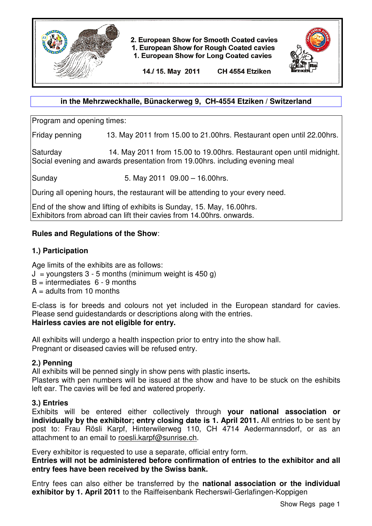

2. European Show for Smooth Coated cavies

1. European Show for Rough Coated cavies

1. European Show for Long Coated cavies



14./ 15. May 2011 CH 4554 Etziken

### **in the Mehrzweckhalle, Bünackerweg 9, CH-4554 Etziken / Switzerland**

Program and opening times:

Friday penning 13. May 2011 from 15.00 to 21.00hrs. Restaurant open until 22.00hrs.

Saturday 14. May 2011 from 15.00 to 19.00hrs. Restaurant open until midnight. Social evening and awards presentation from 19.00hrs. including evening meal

Sunday 5. May 2011 09.00 – 16.00hrs.

During all opening hours, the restaurant will be attending to your every need.

End of the show and lifting of exhibits is Sunday, 15. May, 16.00hrs. Exhibitors from abroad can lift their cavies from 14.00hrs. onwards.

# **Rules and Regulations of the Show**:

### **1.) Participation**

Age limits of the exhibits are as follows:

- $J =$  youngsters 3 5 months (minimum weight is 450 g)
- $B =$  intermediates  $6 9$  months
- $A =$  adults from 10 months

E-class is for breeds and colours not yet included in the European standard for cavies. Please send guidestandards or descriptions along with the entries.

# **Hairless cavies are not eligible for entry.**

All exhibits will undergo a health inspection prior to entry into the show hall. Pregnant or diseased cavies will be refused entry.

# **2.) Penning**

All exhibits will be penned singly in show pens with plastic inserts**.** 

Plasters with pen numbers will be issued at the show and have to be stuck on the eshibits left ear. The cavies will be fed and watered properly.

# **3.) Entries**

Exhibits will be entered either collectively through **your national association or individually by the exhibitor; entry closing date is 1. April 2011.** All entries to be sent by post to: Frau Rösli Karpf, Hinterwilerweg 110, CH 4714 Aedermannsdorf, or as an attachment to an email to roesli.karpf@sunrise.ch.

Every exhibitor is requested to use a separate, official entry form.

**Entries will not be administered before confirmation of entries to the exhibitor and all entry fees have been received by the Swiss bank.**

Entry fees can also either be transferred by the **national association or the individual exhibitor by 1. April 2011** to the Raiffeisenbank Recherswil-Gerlafingen-Koppigen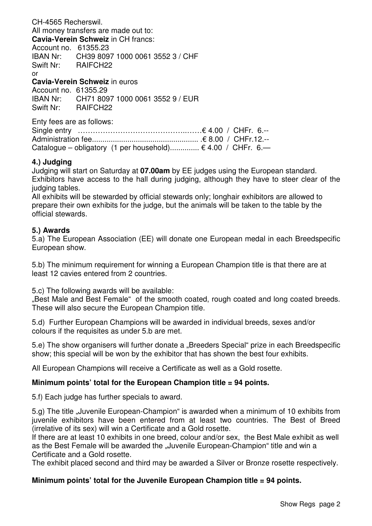CH-4565 Recherswil. All money transfers are made out to: **Cavia-Verein Schweiz** in CH francs: Account no. 61355.23 IBAN Nr: CH39 8097 1000 0061 3552 3 / CHF Swift Nr: RAIFCH22 or

**Cavia-Verein Schweiz** in euros

Account no. 61355.29 IBAN Nr: CH71 8097 1000 0061 3552 9 / EUR Swift Nr: RAIFCH22

Enty fees are as follows:

| Catalogue – obligatory (1 per household) $\in$ 4.00 / CHFr. 6.- |  |
|-----------------------------------------------------------------|--|

#### **4.) Judging**

Judging will start on Saturday at **07.00am** by EE judges using the European standard. Exhibitors have access to the hall during judging, although they have to steer clear of the judging tables.

All exhibits will be stewarded by official stewards only; longhair exhibitors are allowed to prepare their own exhibits for the judge, but the animals will be taken to the table by the official stewards.

#### **5.) Awards**

5.a) The European Association (EE) will donate one European medal in each Breedspecific European show.

5.b) The minimum requirement for winning a European Champion title is that there are at least 12 cavies entered from 2 countries.

5.c) The following awards will be available:

"Best Male and Best Female" of the smooth coated, rough coated and long coated breeds. These will also secure the European Champion title.

5.d) Further European Champions will be awarded in individual breeds, sexes and/or colours if the requisites as under 5.b are met.

5.e) The show organisers will further donate a "Breeders Special" prize in each Breedspecific show; this special will be won by the exhibitor that has shown the best four exhibits.

All European Champions will receive a Certificate as well as a Gold rosette.

### **Minimum points' total for the European Champion title = 94 points.**

5.f) Each judge has further specials to award.

5.g) The title "Juvenile European-Champion" is awarded when a minimum of 10 exhibits from juvenile exhibitors have been entered from at least two countries. The Best of Breed (irrelative of its sex) will win a Certificate and a Gold rosette.

If there are at least 10 exhibits in one breed, colour and/or sex, the Best Male exhibit as well as the Best Female will be awarded the "Juvenile European-Champion" title and win a Certificate and a Gold rosette.

The exhibit placed second and third may be awarded a Silver or Bronze rosette respectively.

### **Minimum points' total for the Juvenile European Champion title = 94 points.**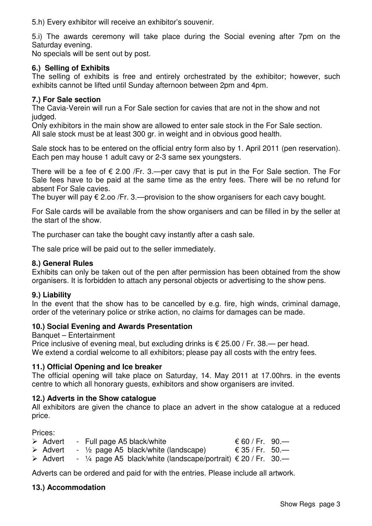5.h) Every exhibitor will receive an exhibitor's souvenir.

5.i) The awards ceremony will take place during the Social evening after 7pm on the Saturday evening.

No specials will be sent out by post.

# **6.) Selling of Exhibits**

The selling of exhibits is free and entirely orchestrated by the exhibitor; however, such exhibits cannot be lifted until Sunday afternoon between 2pm and 4pm.

# **7.) For Sale section**

The Cavia-Verein will run a For Sale section for cavies that are not in the show and not judged.

Only exhibitors in the main show are allowed to enter sale stock in the For Sale section. All sale stock must be at least 300 gr. in weight and in obvious good health.

Sale stock has to be entered on the official entry form also by 1. April 2011 (pen reservation). Each pen may house 1 adult cavy or 2-3 same sex youngsters.

There will be a fee of  $\epsilon$  2.00 /Fr. 3.—per cavy that is put in the For Sale section. The For Sale fees have to be paid at the same time as the entry fees. There will be no refund for absent For Sale cavies.

The buyer will pay  $\epsilon$  2.00 /Fr. 3.—provision to the show organisers for each cavy bought.

For Sale cards will be available from the show organisers and can be filled in by the seller at the start of the show.

The purchaser can take the bought cavy instantly after a cash sale.

The sale price will be paid out to the seller immediately.

# **8.) General Rules**

Exhibits can only be taken out of the pen after permission has been obtained from the show organisers. It is forbidden to attach any personal objects or advertising to the show pens.

# **9.) Liability**

In the event that the show has to be cancelled by e.g. fire, high winds, criminal damage, order of the veterinary police or strike action, no claims for damages can be made.

# **10.) Social Evening and Awards Presentation**

Banquet – Entertainment

Price inclusive of evening meal, but excluding drinks is  $\epsilon$  25.00 / Fr. 38.— per head. We extend a cordial welcome to all exhibitors; please pay all costs with the entry fees.

# **11.) Official Opening and Ice breaker**

The official opening will take place on Saturday, 14. May 2011 at 17.00hrs. in the events centre to which all honorary guests, exhibitors and show organisers are invited.

# **12.) Adverts in the Show catalogue**

All exhibitors are given the chance to place an advert in the show catalogue at a reduced price.

Prices:

| $\triangleright$ Advert | - Full page A5 black/white                                               | € 60 / Fr. 90.— |  |
|-------------------------|--------------------------------------------------------------------------|-----------------|--|
| $\triangleright$ Advert | $\frac{1}{2}$ page A5 black/white (landscape)                            | € 35 / Fr. 50.— |  |
| $\triangleright$ Advert | - $\frac{1}{4}$ page A5 black/white (landscape/portrait) € 20 / Fr. 30.— |                 |  |

Adverts can be ordered and paid for with the entries. Please include all artwork.

# **13.) Accommodation**